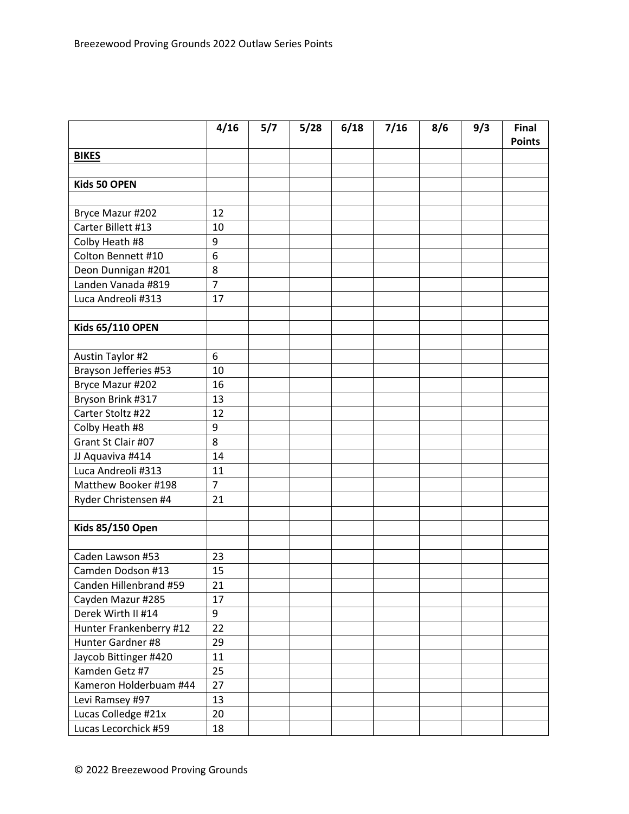|                         | 4/16             | 5/7 | 5/28 | 6/18 | 7/16 | 8/6 | 9/3 | <b>Final</b><br><b>Points</b> |
|-------------------------|------------------|-----|------|------|------|-----|-----|-------------------------------|
| <b>BIKES</b>            |                  |     |      |      |      |     |     |                               |
|                         |                  |     |      |      |      |     |     |                               |
| Kids 50 OPEN            |                  |     |      |      |      |     |     |                               |
|                         |                  |     |      |      |      |     |     |                               |
| Bryce Mazur #202        | 12               |     |      |      |      |     |     |                               |
| Carter Billett #13      | 10               |     |      |      |      |     |     |                               |
| Colby Heath #8          | 9                |     |      |      |      |     |     |                               |
| Colton Bennett #10      | 6                |     |      |      |      |     |     |                               |
| Deon Dunnigan #201      | 8                |     |      |      |      |     |     |                               |
| Landen Vanada #819      | $\overline{7}$   |     |      |      |      |     |     |                               |
| Luca Andreoli #313      | 17               |     |      |      |      |     |     |                               |
|                         |                  |     |      |      |      |     |     |                               |
| Kids 65/110 OPEN        |                  |     |      |      |      |     |     |                               |
|                         |                  |     |      |      |      |     |     |                               |
| <b>Austin Taylor #2</b> | 6                |     |      |      |      |     |     |                               |
| Brayson Jefferies #53   | 10               |     |      |      |      |     |     |                               |
| Bryce Mazur #202        | 16               |     |      |      |      |     |     |                               |
| Bryson Brink #317       | 13               |     |      |      |      |     |     |                               |
| Carter Stoltz #22       | 12               |     |      |      |      |     |     |                               |
| Colby Heath #8          | $\boldsymbol{9}$ |     |      |      |      |     |     |                               |
| Grant St Clair #07      | 8                |     |      |      |      |     |     |                               |
| JJ Aquaviva #414        | 14               |     |      |      |      |     |     |                               |
| Luca Andreoli #313      | 11               |     |      |      |      |     |     |                               |
| Matthew Booker #198     | $\overline{7}$   |     |      |      |      |     |     |                               |
| Ryder Christensen #4    | 21               |     |      |      |      |     |     |                               |
|                         |                  |     |      |      |      |     |     |                               |
| <b>Kids 85/150 Open</b> |                  |     |      |      |      |     |     |                               |
|                         |                  |     |      |      |      |     |     |                               |
| Caden Lawson #53        | 23               |     |      |      |      |     |     |                               |
| Camden Dodson #13       | 15               |     |      |      |      |     |     |                               |
| Canden Hillenbrand #59  | 21               |     |      |      |      |     |     |                               |
| Cayden Mazur #285       | 17               |     |      |      |      |     |     |                               |
| Derek Wirth II #14      | 9                |     |      |      |      |     |     |                               |
| Hunter Frankenberry #12 | 22               |     |      |      |      |     |     |                               |
| Hunter Gardner #8       | 29               |     |      |      |      |     |     |                               |
| Jaycob Bittinger #420   | 11               |     |      |      |      |     |     |                               |
| Kamden Getz #7          | 25               |     |      |      |      |     |     |                               |
| Kameron Holderbuam #44  | 27               |     |      |      |      |     |     |                               |
| Levi Ramsey #97         | 13               |     |      |      |      |     |     |                               |
| Lucas Colledge #21x     | 20               |     |      |      |      |     |     |                               |
| Lucas Lecorchick #59    | 18               |     |      |      |      |     |     |                               |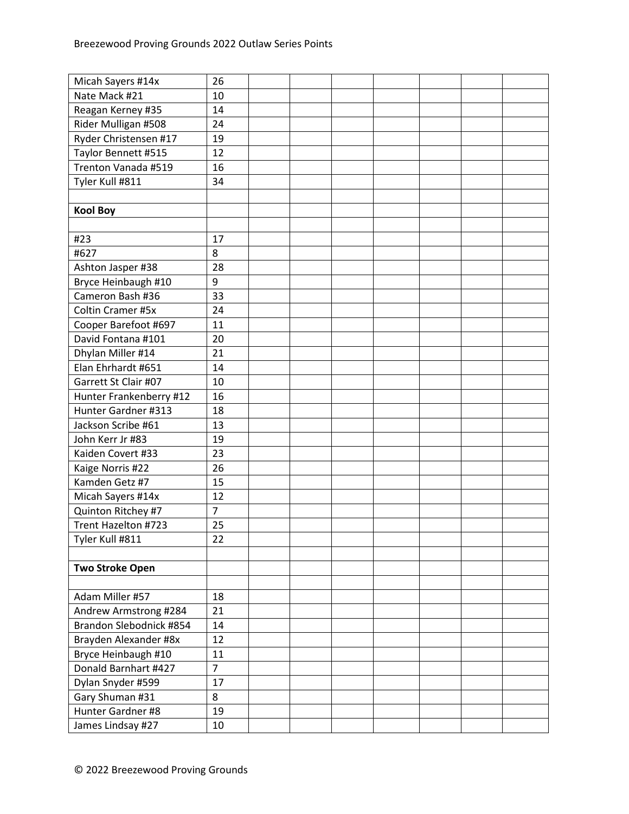| Micah Sayers #14x       | 26             |  |  |  |  |
|-------------------------|----------------|--|--|--|--|
| Nate Mack #21           | 10             |  |  |  |  |
| Reagan Kerney #35       | 14             |  |  |  |  |
| Rider Mulligan #508     | 24             |  |  |  |  |
| Ryder Christensen #17   | 19             |  |  |  |  |
| Taylor Bennett #515     | 12             |  |  |  |  |
| Trenton Vanada #519     | 16             |  |  |  |  |
| Tyler Kull #811         | 34             |  |  |  |  |
|                         |                |  |  |  |  |
| <b>Kool Boy</b>         |                |  |  |  |  |
|                         |                |  |  |  |  |
| #23                     | 17             |  |  |  |  |
| #627                    | 8              |  |  |  |  |
| Ashton Jasper #38       | 28             |  |  |  |  |
| Bryce Heinbaugh #10     | 9              |  |  |  |  |
| Cameron Bash #36        | 33             |  |  |  |  |
| Coltin Cramer #5x       | 24             |  |  |  |  |
| Cooper Barefoot #697    | 11             |  |  |  |  |
| David Fontana #101      | 20             |  |  |  |  |
| Dhylan Miller #14       | 21             |  |  |  |  |
| Elan Ehrhardt #651      | 14             |  |  |  |  |
| Garrett St Clair #07    | 10             |  |  |  |  |
| Hunter Frankenberry #12 | 16             |  |  |  |  |
| Hunter Gardner #313     | 18             |  |  |  |  |
| Jackson Scribe #61      | 13             |  |  |  |  |
| John Kerr Jr #83        | 19             |  |  |  |  |
| Kaiden Covert #33       | 23             |  |  |  |  |
| Kaige Norris #22        | 26             |  |  |  |  |
| Kamden Getz #7          | 15             |  |  |  |  |
| Micah Sayers #14x       | 12             |  |  |  |  |
| Quinton Ritchey #7      | $\overline{7}$ |  |  |  |  |
| Trent Hazelton #723     | 25             |  |  |  |  |
| Tyler Kull #811         | 22             |  |  |  |  |
|                         |                |  |  |  |  |
| <b>Two Stroke Open</b>  |                |  |  |  |  |
|                         |                |  |  |  |  |
| Adam Miller #57         | 18             |  |  |  |  |
| Andrew Armstrong #284   | 21             |  |  |  |  |
| Brandon Slebodnick #854 | 14             |  |  |  |  |
| Brayden Alexander #8x   | 12             |  |  |  |  |
| Bryce Heinbaugh #10     | 11             |  |  |  |  |
| Donald Barnhart #427    | $\overline{7}$ |  |  |  |  |
| Dylan Snyder #599       | 17             |  |  |  |  |
| Gary Shuman #31         | 8              |  |  |  |  |
| Hunter Gardner #8       | 19             |  |  |  |  |
| James Lindsay #27       | 10             |  |  |  |  |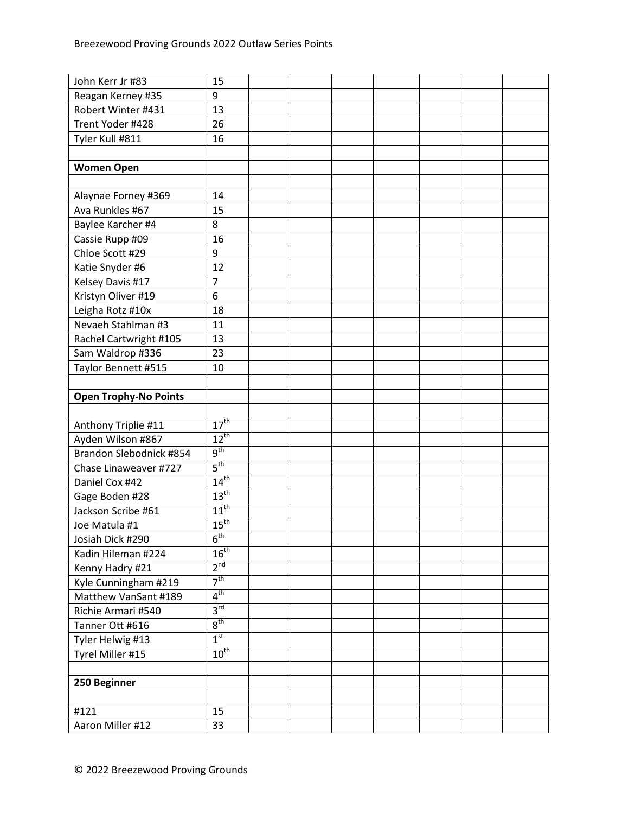| John Kerr Jr #83             | 15               |  |  |  |  |
|------------------------------|------------------|--|--|--|--|
| Reagan Kerney #35            | 9                |  |  |  |  |
| Robert Winter #431           | 13               |  |  |  |  |
| Trent Yoder #428             | 26               |  |  |  |  |
| Tyler Kull #811              | 16               |  |  |  |  |
|                              |                  |  |  |  |  |
| <b>Women Open</b>            |                  |  |  |  |  |
|                              |                  |  |  |  |  |
| Alaynae Forney #369          | 14               |  |  |  |  |
| Ava Runkles #67              | 15               |  |  |  |  |
| Baylee Karcher #4            | 8                |  |  |  |  |
| Cassie Rupp #09              | 16               |  |  |  |  |
| Chloe Scott #29              | 9                |  |  |  |  |
| Katie Snyder #6              | 12               |  |  |  |  |
| Kelsey Davis #17             | $\overline{7}$   |  |  |  |  |
| Kristyn Oliver #19           | 6                |  |  |  |  |
| Leigha Rotz #10x             | 18               |  |  |  |  |
| Nevaeh Stahlman #3           | 11               |  |  |  |  |
| Rachel Cartwright #105       | 13               |  |  |  |  |
| Sam Waldrop #336             | 23               |  |  |  |  |
| Taylor Bennett #515          | 10               |  |  |  |  |
|                              |                  |  |  |  |  |
| <b>Open Trophy-No Points</b> |                  |  |  |  |  |
|                              |                  |  |  |  |  |
| Anthony Triplie #11          | 17 <sup>th</sup> |  |  |  |  |
| Ayden Wilson #867            | $12^{th}$        |  |  |  |  |
| Brandon Slebodnick #854      | $9^{\text{th}}$  |  |  |  |  |
| Chase Linaweaver #727        | $5^{\text{th}}$  |  |  |  |  |
| Daniel Cox #42               | $14^{th}$        |  |  |  |  |
| Gage Boden #28               | $13^{\text{th}}$ |  |  |  |  |
| Jackson Scribe #61           | $11^{th}$        |  |  |  |  |
| Joe Matula #1                | 15 <sup>th</sup> |  |  |  |  |
| Josiah Dick #290             | 6 <sup>th</sup>  |  |  |  |  |
| Kadin Hileman #224           | $16^{\text{th}}$ |  |  |  |  |
| Kenny Hadry #21              | 2 <sup>nd</sup>  |  |  |  |  |
| Kyle Cunningham #219         | 7 <sup>th</sup>  |  |  |  |  |
| Matthew VanSant #189         | $4^{\text{th}}$  |  |  |  |  |
| Richie Armari #540           | 3 <sup>rd</sup>  |  |  |  |  |
| Tanner Ott #616              | 8 <sup>th</sup>  |  |  |  |  |
| Tyler Helwig #13             | 1 <sup>st</sup>  |  |  |  |  |
| Tyrel Miller #15             | $10^{\text{th}}$ |  |  |  |  |
|                              |                  |  |  |  |  |
| 250 Beginner                 |                  |  |  |  |  |
|                              |                  |  |  |  |  |
| #121                         | 15               |  |  |  |  |
| Aaron Miller #12             | 33               |  |  |  |  |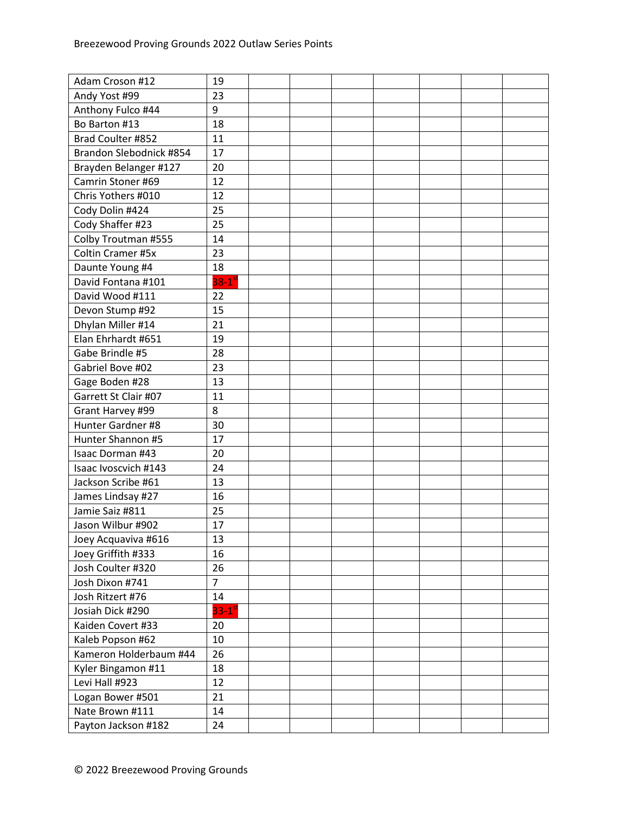| Adam Croson #12         | 19                     |  |  |  |  |
|-------------------------|------------------------|--|--|--|--|
| Andy Yost #99           | 23                     |  |  |  |  |
| Anthony Fulco #44       | 9                      |  |  |  |  |
| Bo Barton #13           | 18                     |  |  |  |  |
| Brad Coulter #852       | 11                     |  |  |  |  |
| Brandon Slebodnick #854 | 17                     |  |  |  |  |
| Brayden Belanger #127   | 20                     |  |  |  |  |
| Camrin Stoner #69       | 12                     |  |  |  |  |
| Chris Yothers #010      | 12                     |  |  |  |  |
| Cody Dolin #424         | 25                     |  |  |  |  |
| Cody Shaffer #23        | 25                     |  |  |  |  |
| Colby Troutman #555     | 14                     |  |  |  |  |
| Coltin Cramer #5x       | 23                     |  |  |  |  |
| Daunte Young #4         | 18                     |  |  |  |  |
| David Fontana #101      | $38-1$ <sup>st</sup>   |  |  |  |  |
| David Wood #111         | 22                     |  |  |  |  |
| Devon Stump #92         | 15                     |  |  |  |  |
| Dhylan Miller #14       | 21                     |  |  |  |  |
| Elan Ehrhardt #651      | 19                     |  |  |  |  |
| Gabe Brindle #5         | 28                     |  |  |  |  |
| Gabriel Bove #02        | 23                     |  |  |  |  |
| Gage Boden #28          | 13                     |  |  |  |  |
| Garrett St Clair #07    | 11                     |  |  |  |  |
| Grant Harvey #99        | 8                      |  |  |  |  |
| Hunter Gardner #8       | 30                     |  |  |  |  |
| Hunter Shannon #5       | 17                     |  |  |  |  |
| <b>Isaac Dorman #43</b> | 20                     |  |  |  |  |
| Isaac Ivoscvich #143    | 24                     |  |  |  |  |
| Jackson Scribe #61      | 13                     |  |  |  |  |
| James Lindsay #27       | 16                     |  |  |  |  |
| Jamie Saiz #811         | 25                     |  |  |  |  |
| Jason Wilbur #902       | 17                     |  |  |  |  |
| Joey Acquaviva #616     | 13                     |  |  |  |  |
| Joey Griffith #333      | 16                     |  |  |  |  |
| Josh Coulter #320       | 26                     |  |  |  |  |
| Josh Dixon #741         | $\overline{7}$         |  |  |  |  |
| Josh Ritzert #76        | 14                     |  |  |  |  |
| Josiah Dick #290        | $33 - 1$ <sup>st</sup> |  |  |  |  |
| Kaiden Covert #33       | 20                     |  |  |  |  |
| Kaleb Popson #62        | 10                     |  |  |  |  |
| Kameron Holderbaum #44  | 26                     |  |  |  |  |
| Kyler Bingamon #11      | 18                     |  |  |  |  |
| Levi Hall #923          | 12                     |  |  |  |  |
| Logan Bower #501        | 21                     |  |  |  |  |
| Nate Brown #111         | 14                     |  |  |  |  |
| Payton Jackson #182     | 24                     |  |  |  |  |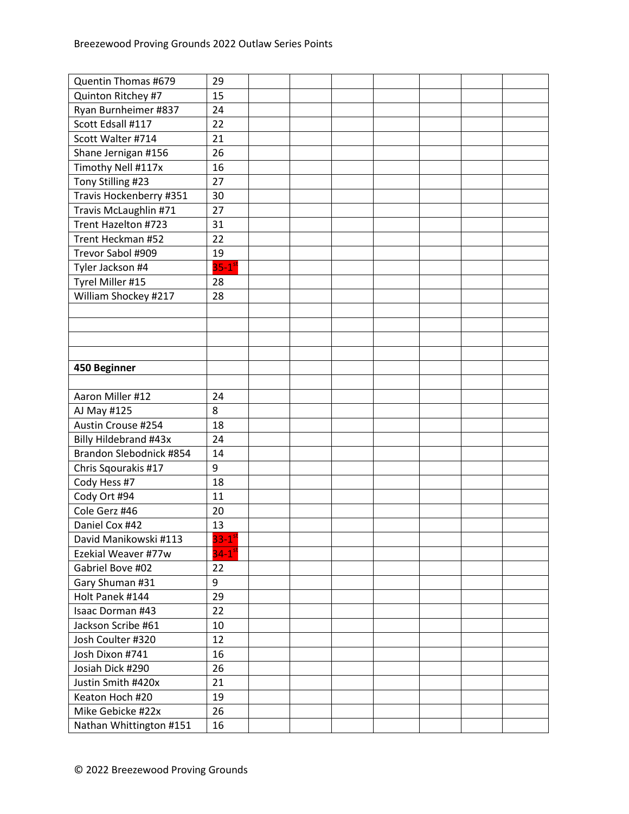| Quentin Thomas #679     | 29                     |  |  |  |  |
|-------------------------|------------------------|--|--|--|--|
| Quinton Ritchey #7      | 15                     |  |  |  |  |
| Ryan Burnheimer #837    | 24                     |  |  |  |  |
| Scott Edsall #117       | 22                     |  |  |  |  |
| Scott Walter #714       | 21                     |  |  |  |  |
| Shane Jernigan #156     | 26                     |  |  |  |  |
| Timothy Nell #117x      | 16                     |  |  |  |  |
| Tony Stilling #23       | 27                     |  |  |  |  |
| Travis Hockenberry #351 | 30                     |  |  |  |  |
| Travis McLaughlin #71   | 27                     |  |  |  |  |
| Trent Hazelton #723     | 31                     |  |  |  |  |
| Trent Heckman #52       | 22                     |  |  |  |  |
| Trevor Sabol #909       | 19                     |  |  |  |  |
| Tyler Jackson #4        | $35-1$ <sup>st</sup>   |  |  |  |  |
| Tyrel Miller #15        | 28                     |  |  |  |  |
| William Shockey #217    | 28                     |  |  |  |  |
|                         |                        |  |  |  |  |
|                         |                        |  |  |  |  |
|                         |                        |  |  |  |  |
|                         |                        |  |  |  |  |
| 450 Beginner            |                        |  |  |  |  |
|                         |                        |  |  |  |  |
| Aaron Miller #12        | 24                     |  |  |  |  |
| AJ May #125             | 8                      |  |  |  |  |
| Austin Crouse #254      | 18                     |  |  |  |  |
| Billy Hildebrand #43x   | 24                     |  |  |  |  |
| Brandon Slebodnick #854 | 14                     |  |  |  |  |
| Chris Sqourakis #17     | 9                      |  |  |  |  |
| Cody Hess #7            | 18                     |  |  |  |  |
| Cody Ort #94            | 11                     |  |  |  |  |
| Cole Gerz #46           | 20                     |  |  |  |  |
| Daniel Cox #42          | 13                     |  |  |  |  |
| David Manikowski #113   | $33 - 1$ <sup>51</sup> |  |  |  |  |
| Ezekial Weaver #77w     | $34-1$ <sup>st</sup>   |  |  |  |  |
| Gabriel Bove #02        | 22                     |  |  |  |  |
| Gary Shuman #31         | 9                      |  |  |  |  |
| Holt Panek #144         | 29                     |  |  |  |  |
| Isaac Dorman #43        | 22                     |  |  |  |  |
| Jackson Scribe #61      | 10                     |  |  |  |  |
| Josh Coulter #320       | 12                     |  |  |  |  |
| Josh Dixon #741         | 16                     |  |  |  |  |
| Josiah Dick #290        | 26                     |  |  |  |  |
| Justin Smith #420x      | 21                     |  |  |  |  |
| Keaton Hoch #20         | 19                     |  |  |  |  |
| Mike Gebicke #22x       | 26                     |  |  |  |  |
| Nathan Whittington #151 | 16                     |  |  |  |  |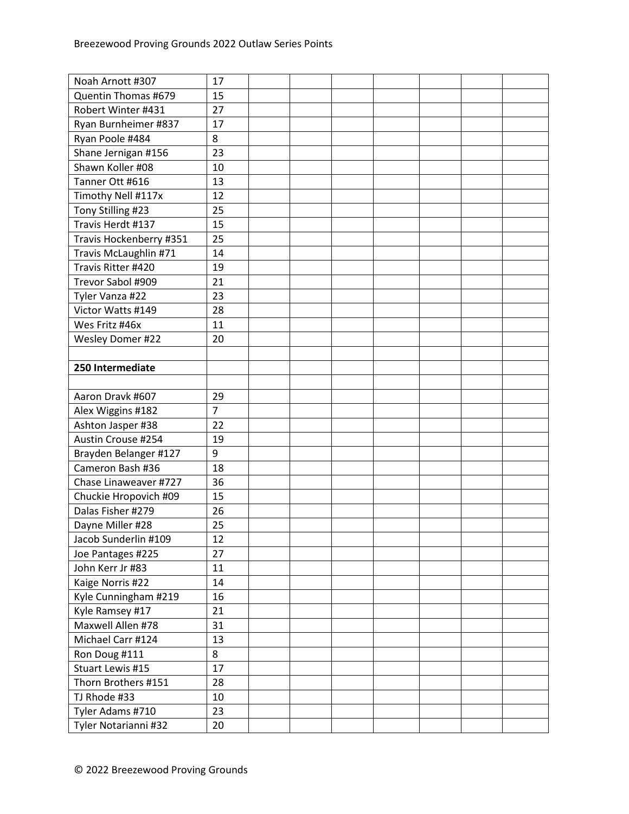| Noah Arnott #307        | 17             |  |  |  |  |
|-------------------------|----------------|--|--|--|--|
| Quentin Thomas #679     | 15             |  |  |  |  |
| Robert Winter #431      | 27             |  |  |  |  |
| Ryan Burnheimer #837    | 17             |  |  |  |  |
| Ryan Poole #484         | 8              |  |  |  |  |
| Shane Jernigan #156     | 23             |  |  |  |  |
| Shawn Koller #08        | 10             |  |  |  |  |
| Tanner Ott #616         | 13             |  |  |  |  |
| Timothy Nell #117x      | 12             |  |  |  |  |
| Tony Stilling #23       | 25             |  |  |  |  |
| Travis Herdt #137       | 15             |  |  |  |  |
| Travis Hockenberry #351 | 25             |  |  |  |  |
| Travis McLaughlin #71   | 14             |  |  |  |  |
| Travis Ritter #420      | 19             |  |  |  |  |
| Trevor Sabol #909       | 21             |  |  |  |  |
| Tyler Vanza #22         | 23             |  |  |  |  |
| Victor Watts #149       | 28             |  |  |  |  |
| Wes Fritz #46x          | 11             |  |  |  |  |
| Wesley Domer #22        | 20             |  |  |  |  |
|                         |                |  |  |  |  |
| 250 Intermediate        |                |  |  |  |  |
|                         |                |  |  |  |  |
| Aaron Dravk #607        | 29             |  |  |  |  |
| Alex Wiggins #182       | $\overline{7}$ |  |  |  |  |
| Ashton Jasper #38       | 22             |  |  |  |  |
| Austin Crouse #254      | 19             |  |  |  |  |
| Brayden Belanger #127   | 9              |  |  |  |  |
| Cameron Bash #36        | 18             |  |  |  |  |
| Chase Linaweaver #727   | 36             |  |  |  |  |
| Chuckie Hropovich #09   | 15             |  |  |  |  |
| Dalas Fisher #279       | 26             |  |  |  |  |
| Dayne Miller #28        | 25             |  |  |  |  |
| Jacob Sunderlin #109    | 12             |  |  |  |  |
| Joe Pantages #225       | 27             |  |  |  |  |
| John Kerr Jr #83        | 11             |  |  |  |  |
| Kaige Norris #22        | 14             |  |  |  |  |
| Kyle Cunningham #219    | 16             |  |  |  |  |
| Kyle Ramsey #17         | 21             |  |  |  |  |
| Maxwell Allen #78       | 31             |  |  |  |  |
| Michael Carr #124       | 13             |  |  |  |  |
| Ron Doug #111           | 8              |  |  |  |  |
| Stuart Lewis #15        | 17             |  |  |  |  |
| Thorn Brothers #151     | 28             |  |  |  |  |
| TJ Rhode #33            | 10             |  |  |  |  |
| Tyler Adams #710        | 23             |  |  |  |  |
| Tyler Notarianni #32    | 20             |  |  |  |  |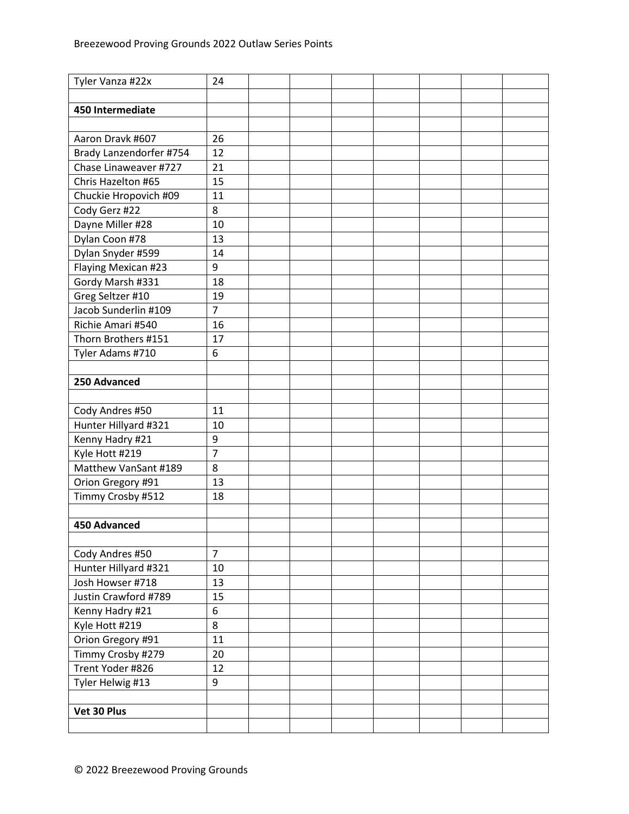| Tyler Vanza #22x        | 24             |  |  |  |  |
|-------------------------|----------------|--|--|--|--|
|                         |                |  |  |  |  |
| 450 Intermediate        |                |  |  |  |  |
|                         |                |  |  |  |  |
| Aaron Dravk #607        | 26             |  |  |  |  |
| Brady Lanzendorfer #754 | 12             |  |  |  |  |
| Chase Linaweaver #727   | 21             |  |  |  |  |
| Chris Hazelton #65      | 15             |  |  |  |  |
| Chuckie Hropovich #09   | 11             |  |  |  |  |
| Cody Gerz #22           | 8              |  |  |  |  |
| Dayne Miller #28        | 10             |  |  |  |  |
| Dylan Coon #78          | 13             |  |  |  |  |
| Dylan Snyder #599       | 14             |  |  |  |  |
| Flaying Mexican #23     | 9              |  |  |  |  |
| Gordy Marsh #331        | 18             |  |  |  |  |
| Greg Seltzer #10        | 19             |  |  |  |  |
| Jacob Sunderlin #109    | $\overline{7}$ |  |  |  |  |
| Richie Amari #540       | 16             |  |  |  |  |
| Thorn Brothers #151     | 17             |  |  |  |  |
| Tyler Adams #710        | 6              |  |  |  |  |
|                         |                |  |  |  |  |
| 250 Advanced            |                |  |  |  |  |
|                         |                |  |  |  |  |
| Cody Andres #50         | 11             |  |  |  |  |
| Hunter Hillyard #321    | 10             |  |  |  |  |
| Kenny Hadry #21         | 9              |  |  |  |  |
| Kyle Hott #219          | $\overline{7}$ |  |  |  |  |
| Matthew VanSant #189    | 8              |  |  |  |  |
| Orion Gregory #91       | 13             |  |  |  |  |
| Timmy Crosby #512       | 18             |  |  |  |  |
|                         |                |  |  |  |  |
| 450 Advanced            |                |  |  |  |  |
|                         |                |  |  |  |  |
| Cody Andres #50         | $\overline{7}$ |  |  |  |  |
| Hunter Hillyard #321    | 10             |  |  |  |  |
| Josh Howser #718        | 13             |  |  |  |  |
| Justin Crawford #789    | 15             |  |  |  |  |
| Kenny Hadry #21         | 6              |  |  |  |  |
| Kyle Hott #219          | 8              |  |  |  |  |
| Orion Gregory #91       | 11             |  |  |  |  |
| Timmy Crosby #279       | 20             |  |  |  |  |
| Trent Yoder #826        | 12             |  |  |  |  |
| Tyler Helwig #13        | 9              |  |  |  |  |
|                         |                |  |  |  |  |
| Vet 30 Plus             |                |  |  |  |  |
|                         |                |  |  |  |  |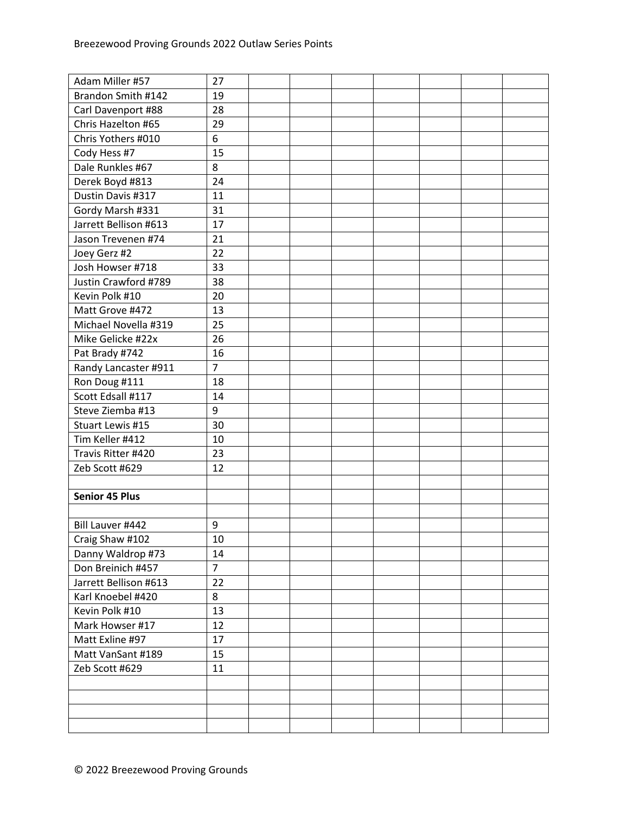| Adam Miller #57       | 27             |  |  |  |  |
|-----------------------|----------------|--|--|--|--|
| Brandon Smith #142    | 19             |  |  |  |  |
| Carl Davenport #88    | 28             |  |  |  |  |
| Chris Hazelton #65    | 29             |  |  |  |  |
| Chris Yothers #010    | 6              |  |  |  |  |
| Cody Hess #7          | 15             |  |  |  |  |
| Dale Runkles #67      | 8              |  |  |  |  |
| Derek Boyd #813       | 24             |  |  |  |  |
| Dustin Davis #317     | 11             |  |  |  |  |
| Gordy Marsh #331      | 31             |  |  |  |  |
| Jarrett Bellison #613 | 17             |  |  |  |  |
| Jason Trevenen #74    | 21             |  |  |  |  |
| Joey Gerz #2          | 22             |  |  |  |  |
| Josh Howser #718      | 33             |  |  |  |  |
| Justin Crawford #789  | 38             |  |  |  |  |
| Kevin Polk #10        | 20             |  |  |  |  |
| Matt Grove #472       | 13             |  |  |  |  |
| Michael Novella #319  | 25             |  |  |  |  |
| Mike Gelicke #22x     | 26             |  |  |  |  |
| Pat Brady #742        | 16             |  |  |  |  |
| Randy Lancaster #911  | $\overline{7}$ |  |  |  |  |
| Ron Doug #111         | 18             |  |  |  |  |
| Scott Edsall #117     | 14             |  |  |  |  |
| Steve Ziemba #13      | 9              |  |  |  |  |
| Stuart Lewis #15      | 30             |  |  |  |  |
| Tim Keller #412       | 10             |  |  |  |  |
| Travis Ritter #420    | 23             |  |  |  |  |
| Zeb Scott #629        | 12             |  |  |  |  |
|                       |                |  |  |  |  |
| <b>Senior 45 Plus</b> |                |  |  |  |  |
|                       |                |  |  |  |  |
| Bill Lauver #442      | 9              |  |  |  |  |
| Craig Shaw #102       | 10             |  |  |  |  |
| Danny Waldrop #73     | 14             |  |  |  |  |
| Don Breinich #457     | $\overline{7}$ |  |  |  |  |
| Jarrett Bellison #613 | 22             |  |  |  |  |
| Karl Knoebel #420     | 8              |  |  |  |  |
| Kevin Polk #10        | 13             |  |  |  |  |
| Mark Howser #17       | 12             |  |  |  |  |
| Matt Exline #97       | 17             |  |  |  |  |
| Matt VanSant #189     | 15             |  |  |  |  |
| Zeb Scott #629        | 11             |  |  |  |  |
|                       |                |  |  |  |  |
|                       |                |  |  |  |  |
|                       |                |  |  |  |  |
|                       |                |  |  |  |  |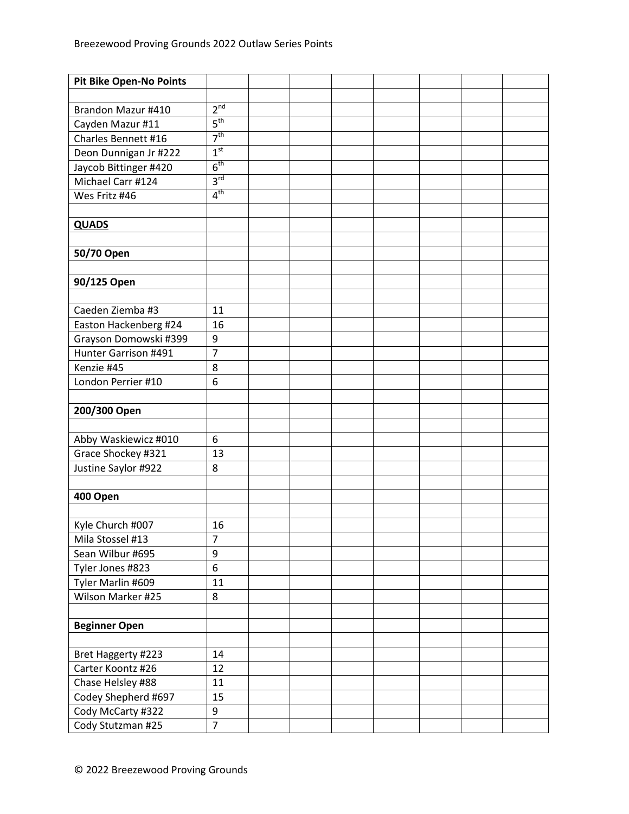| <b>Pit Bike Open-No Points</b> |                 |  |  |  |  |
|--------------------------------|-----------------|--|--|--|--|
|                                |                 |  |  |  |  |
| Brandon Mazur #410             | 2 <sup>nd</sup> |  |  |  |  |
| Cayden Mazur #11               | 5 <sup>th</sup> |  |  |  |  |
| Charles Bennett #16            | 7 <sup>th</sup> |  |  |  |  |
| Deon Dunnigan Jr #222          | 1 <sup>st</sup> |  |  |  |  |
| Jaycob Bittinger #420          | 6 <sup>th</sup> |  |  |  |  |
| Michael Carr #124              | 3 <sup>rd</sup> |  |  |  |  |
| Wes Fritz #46                  | 4 <sup>th</sup> |  |  |  |  |
|                                |                 |  |  |  |  |
| <b>QUADS</b>                   |                 |  |  |  |  |
|                                |                 |  |  |  |  |
| 50/70 Open                     |                 |  |  |  |  |
|                                |                 |  |  |  |  |
| 90/125 Open                    |                 |  |  |  |  |
|                                |                 |  |  |  |  |
| Caeden Ziemba #3               | 11              |  |  |  |  |
| Easton Hackenberg #24          | 16              |  |  |  |  |
| Grayson Domowski #399          | 9               |  |  |  |  |
| Hunter Garrison #491           | $\overline{7}$  |  |  |  |  |
| Kenzie #45                     | 8               |  |  |  |  |
| London Perrier #10             | 6               |  |  |  |  |
|                                |                 |  |  |  |  |
| 200/300 Open                   |                 |  |  |  |  |
|                                |                 |  |  |  |  |
| Abby Waskiewicz #010           | 6               |  |  |  |  |
| Grace Shockey #321             | 13              |  |  |  |  |
| Justine Saylor #922            | 8               |  |  |  |  |
|                                |                 |  |  |  |  |
| 400 Open                       |                 |  |  |  |  |
|                                |                 |  |  |  |  |
| Kyle Church #007               | 16              |  |  |  |  |
| Mila Stossel #13               | 7               |  |  |  |  |
| Sean Wilbur #695               | 9               |  |  |  |  |
| Tyler Jones #823               | $\overline{6}$  |  |  |  |  |
| Tyler Marlin #609              | 11              |  |  |  |  |
| Wilson Marker #25              | 8               |  |  |  |  |
|                                |                 |  |  |  |  |
| <b>Beginner Open</b>           |                 |  |  |  |  |
|                                |                 |  |  |  |  |
| Bret Haggerty #223             | 14              |  |  |  |  |
| Carter Koontz #26              | 12              |  |  |  |  |
| Chase Helsley #88              | 11              |  |  |  |  |
| Codey Shepherd #697            | 15              |  |  |  |  |
| Cody McCarty #322              | 9               |  |  |  |  |
| Cody Stutzman #25              | $\overline{7}$  |  |  |  |  |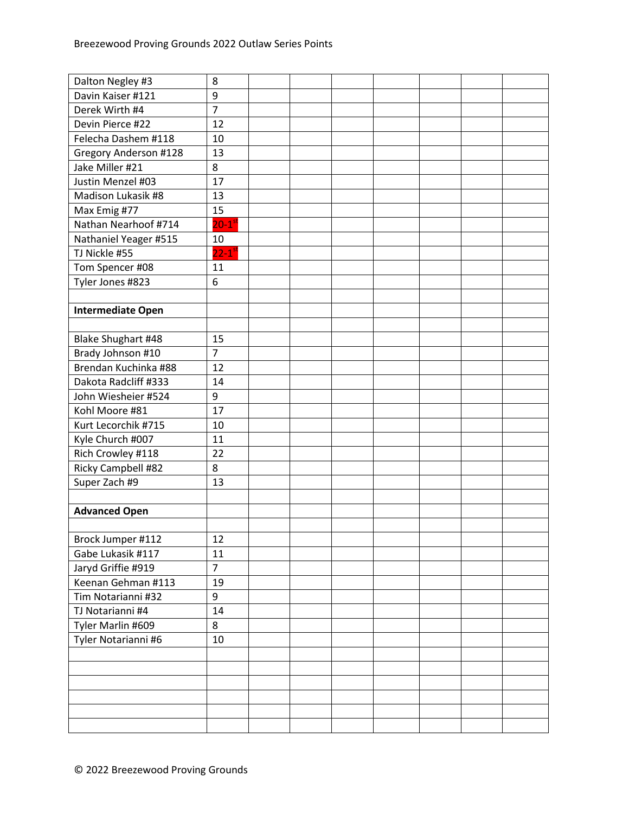| Dalton Negley #3         | 8                      |  |  |  |  |
|--------------------------|------------------------|--|--|--|--|
| Davin Kaiser #121        | 9                      |  |  |  |  |
| Derek Wirth #4           | $\overline{7}$         |  |  |  |  |
| Devin Pierce #22         | 12                     |  |  |  |  |
| Felecha Dashem #118      | 10                     |  |  |  |  |
| Gregory Anderson #128    | 13                     |  |  |  |  |
| Jake Miller #21          | 8                      |  |  |  |  |
| Justin Menzel #03        | 17                     |  |  |  |  |
| Madison Lukasik #8       | 13                     |  |  |  |  |
| Max Emig #77             | 15                     |  |  |  |  |
| Nathan Nearhoof #714     | $20-1$ <sup>st</sup>   |  |  |  |  |
| Nathaniel Yeager #515    | 10                     |  |  |  |  |
| TJ Nickle #55            | $22 - 1$ <sup>st</sup> |  |  |  |  |
| Tom Spencer #08          | 11                     |  |  |  |  |
| Tyler Jones #823         | 6                      |  |  |  |  |
|                          |                        |  |  |  |  |
| <b>Intermediate Open</b> |                        |  |  |  |  |
|                          |                        |  |  |  |  |
| Blake Shughart #48       | 15                     |  |  |  |  |
| Brady Johnson #10        | $\overline{7}$         |  |  |  |  |
| Brendan Kuchinka #88     | 12                     |  |  |  |  |
| Dakota Radcliff #333     | 14                     |  |  |  |  |
| John Wiesheier #524      | 9                      |  |  |  |  |
| Kohl Moore #81           | 17                     |  |  |  |  |
| Kurt Lecorchik #715      | 10                     |  |  |  |  |
| Kyle Church #007         | 11                     |  |  |  |  |
| Rich Crowley #118        | 22                     |  |  |  |  |
| Ricky Campbell #82       | 8                      |  |  |  |  |
| Super Zach #9            | 13                     |  |  |  |  |
|                          |                        |  |  |  |  |
| <b>Advanced Open</b>     |                        |  |  |  |  |
|                          |                        |  |  |  |  |
| Brock Jumper #112        | 12                     |  |  |  |  |
| Gabe Lukasik #117        | 11                     |  |  |  |  |
| Jaryd Griffie #919       | $\overline{7}$         |  |  |  |  |
| Keenan Gehman #113       | 19                     |  |  |  |  |
| Tim Notarianni #32       | 9                      |  |  |  |  |
| TJ Notarianni #4         | 14                     |  |  |  |  |
| Tyler Marlin #609        | 8                      |  |  |  |  |
| Tyler Notarianni #6      | 10                     |  |  |  |  |
|                          |                        |  |  |  |  |
|                          |                        |  |  |  |  |
|                          |                        |  |  |  |  |
|                          |                        |  |  |  |  |
|                          |                        |  |  |  |  |
|                          |                        |  |  |  |  |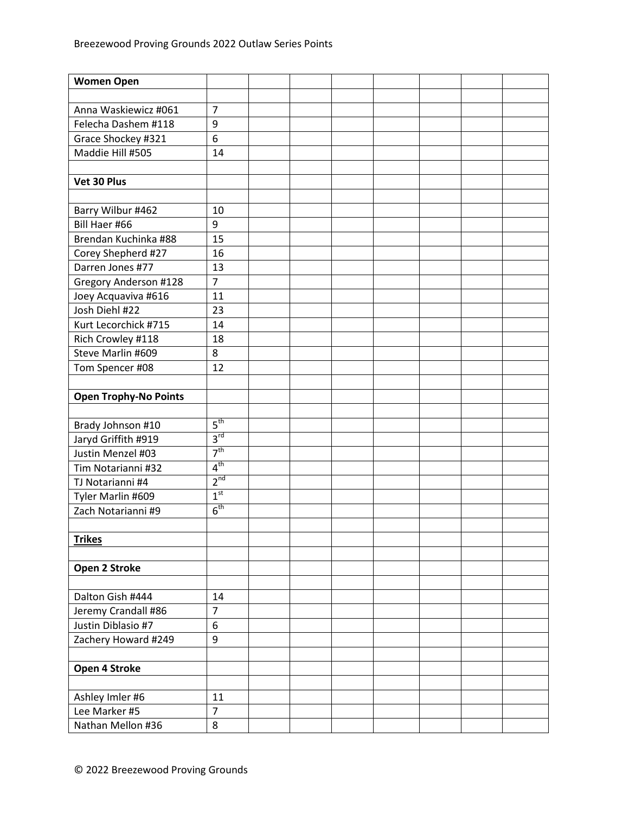| <b>Women Open</b>                         |                      |  |  |  |  |
|-------------------------------------------|----------------------|--|--|--|--|
|                                           |                      |  |  |  |  |
| Anna Waskiewicz #061                      | $\overline{7}$       |  |  |  |  |
| Felecha Dashem #118                       | 9                    |  |  |  |  |
| Grace Shockey #321                        | 6                    |  |  |  |  |
| Maddie Hill #505                          | 14                   |  |  |  |  |
|                                           |                      |  |  |  |  |
| Vet 30 Plus                               |                      |  |  |  |  |
|                                           |                      |  |  |  |  |
| Barry Wilbur #462                         | 10                   |  |  |  |  |
| Bill Haer #66                             | 9                    |  |  |  |  |
| Brendan Kuchinka #88                      | 15                   |  |  |  |  |
| Corey Shepherd #27                        | 16                   |  |  |  |  |
| Darren Jones #77                          | 13                   |  |  |  |  |
| Gregory Anderson #128                     | $\overline{7}$       |  |  |  |  |
| Joey Acquaviva #616                       | 11                   |  |  |  |  |
| Josh Diehl #22                            | 23                   |  |  |  |  |
| Kurt Lecorchick #715                      | 14                   |  |  |  |  |
| Rich Crowley #118                         | 18                   |  |  |  |  |
| Steve Marlin #609                         | 8                    |  |  |  |  |
| Tom Spencer #08                           | 12                   |  |  |  |  |
|                                           |                      |  |  |  |  |
| <b>Open Trophy-No Points</b>              |                      |  |  |  |  |
|                                           |                      |  |  |  |  |
| Brady Johnson #10                         | $5^{\text{th}}$      |  |  |  |  |
| Jaryd Griffith #919                       | 3 <sup>rd</sup>      |  |  |  |  |
| Justin Menzel #03                         | 7 <sup>th</sup>      |  |  |  |  |
| Tim Notarianni #32                        | 4 <sup>th</sup>      |  |  |  |  |
| TJ Notarianni #4                          | 2 <sup>nd</sup>      |  |  |  |  |
| Tyler Marlin #609                         | 1 <sup>st</sup>      |  |  |  |  |
| Zach Notarianni #9                        | 6 <sup>th</sup>      |  |  |  |  |
|                                           |                      |  |  |  |  |
| <b>Trikes</b>                             |                      |  |  |  |  |
|                                           |                      |  |  |  |  |
| Open 2 Stroke                             |                      |  |  |  |  |
| Dalton Gish #444                          |                      |  |  |  |  |
|                                           | 14<br>$\overline{7}$ |  |  |  |  |
| Jeremy Crandall #86<br>Justin Diblasio #7 | 6                    |  |  |  |  |
| Zachery Howard #249                       | 9                    |  |  |  |  |
|                                           |                      |  |  |  |  |
| Open 4 Stroke                             |                      |  |  |  |  |
|                                           |                      |  |  |  |  |
| Ashley Imler #6                           | 11                   |  |  |  |  |
| Lee Marker #5                             | $\overline{7}$       |  |  |  |  |
| Nathan Mellon #36                         | 8                    |  |  |  |  |
|                                           |                      |  |  |  |  |